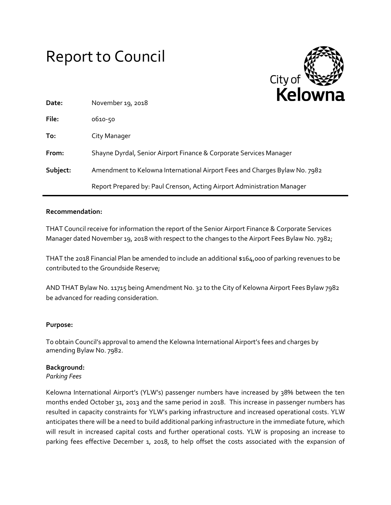# Report to Council



| Date:    | November 19, 2018                                                          |
|----------|----------------------------------------------------------------------------|
| File:    | 0610-50                                                                    |
| To:      | City Manager                                                               |
| From:    | Shayne Dyrdal, Senior Airport Finance & Corporate Services Manager         |
| Subject: | Amendment to Kelowna International Airport Fees and Charges Bylaw No. 7982 |
|          | Report Prepared by: Paul Crenson, Acting Airport Administration Manager    |

## **Recommendation:**

THAT Council receive for information the report of the Senior Airport Finance & Corporate Services Manager dated November 19, 2018 with respect to the changes to the Airport Fees Bylaw No. 7982;

THAT the 2018 Financial Plan be amended to include an additional \$164,000 of parking revenues to be contributed to the Groundside Reserve;

AND THAT Bylaw No. 11715 being Amendment No. 32 to the City of Kelowna Airport Fees Bylaw 7982 be advanced for reading consideration.

# **Purpose:**

To obtain Council's approval to amend the Kelowna International Airport's fees and charges by amending Bylaw No. 7982.

#### **Background:**

*Parking Fees*

Kelowna International Airport's (YLW's) passenger numbers have increased by 38% between the ten months ended October 31, 2013 and the same period in 2018. This increase in passenger numbers has resulted in capacity constraints for YLW's parking infrastructure and increased operational costs. YLW anticipates there will be a need to build additional parking infrastructure in the immediate future, which will result in increased capital costs and further operational costs. YLW is proposing an increase to parking fees effective December 1, 2018, to help offset the costs associated with the expansion of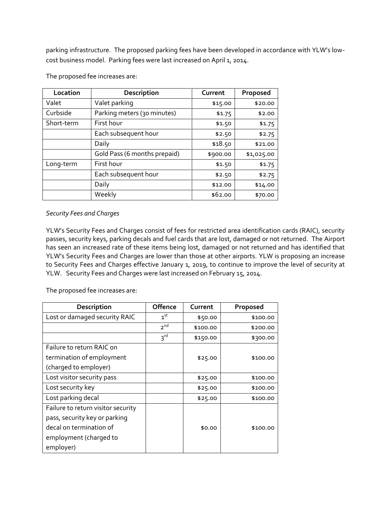parking infrastructure. The proposed parking fees have been developed in accordance with YLW's lowcost business model. Parking fees were last increased on April 1, 2014.

| Location   | Description                  | Current          | Proposed   |
|------------|------------------------------|------------------|------------|
| Valet      | Valet parking                | \$15.00          | \$20.00    |
| Curbside   | Parking meters (30 minutes)  | \$1.75<br>\$2.00 |            |
| Short-term | First hour                   | \$1.50           | \$1.75     |
|            | Each subsequent hour         | \$2.50           | \$2.75     |
|            | Daily                        | \$18.50          | \$21.00    |
|            | Gold Pass (6 months prepaid) | \$900.00         | \$1,025.00 |
| Long-term  | First hour                   | \$1.50           | \$1.75     |
|            | Each subsequent hour         | \$2.50           | \$2.75     |
|            | Daily                        | \$12.00          | \$14.00    |
|            | Weekly                       | \$62.00          | \$70.00    |

The proposed fee increases are:

# *Security Fees and Charges*

YLW's Security Fees and Charges consist of fees for restricted area identification cards (RAIC), security passes, security keys, parking decals and fuel cards that are lost, damaged or not returned. The Airport has seen an increased rate of these items being lost, damaged or not returned and has identified that YLW's Security Fees and Charges are lower than those at other airports. YLW is proposing an increase to Security Fees and Charges effective January 1, 2019, to continue to improve the level of security at YLW. Security Fees and Charges were last increased on February 15, 2014.

The proposed fee increases are:

| Description                        | Offence         | Current  | Proposed |
|------------------------------------|-----------------|----------|----------|
| Lost or damaged security RAIC      | 1 <sup>st</sup> | \$50.00  | \$100.00 |
|                                    | 2 <sup>nd</sup> | \$100.00 | \$200.00 |
|                                    | 3 <sup>rd</sup> | \$150.00 | \$300.00 |
| Failure to return RAIC on          |                 |          |          |
| termination of employment          |                 | \$25.00  | \$100.00 |
| (charged to employer)              |                 |          |          |
| Lost visitor security pass         |                 | \$25.00  | \$100.00 |
| Lost security key                  |                 | \$25.00  | \$100.00 |
| Lost parking decal                 |                 | \$25.00  | \$100.00 |
| Failure to return visitor security |                 |          |          |
| pass, security key or parking      |                 |          |          |
| decal on termination of            |                 | \$0.00   | \$100.00 |
| employment (charged to             |                 |          |          |
| employer)                          |                 |          |          |